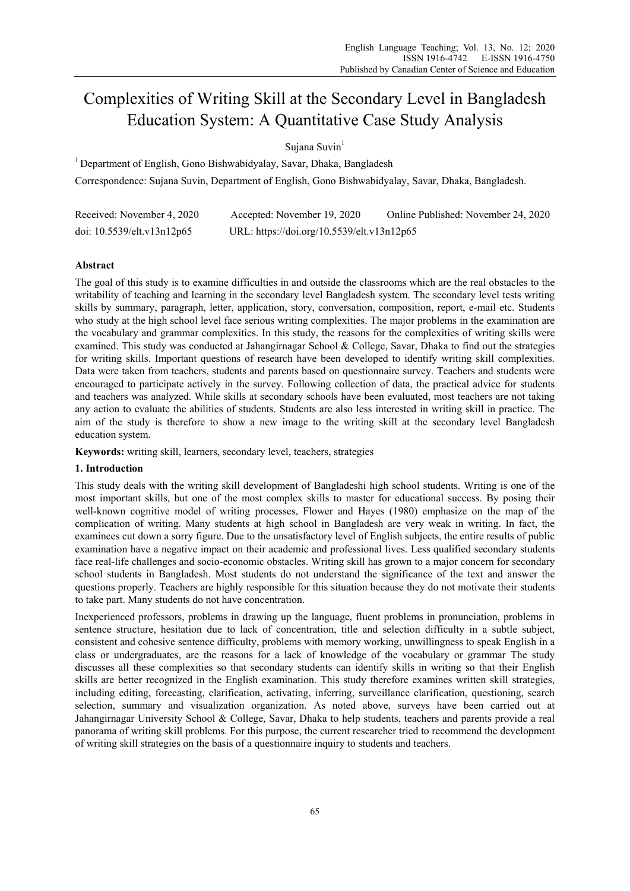# Complexities of Writing Skill at the Secondary Level in Bangladesh Education System: A Quantitative Case Study Analysis

Sujana Suvin<sup>1</sup>

<sup>1</sup> Department of English, Gono Bishwabidyalay, Savar, Dhaka, Bangladesh Correspondence: Sujana Suvin, Department of English, Gono Bishwabidyalay, Savar, Dhaka, Bangladesh.

| Received: November 4, 2020 | Accepted: November 19, 2020                | Online Published: November 24, 2020 |
|----------------------------|--------------------------------------------|-------------------------------------|
| doi: 10.5539/elt.v13n12p65 | URL: https://doi.org/10.5539/elt.v13n12p65 |                                     |

# **Abstract**

The goal of this study is to examine difficulties in and outside the classrooms which are the real obstacles to the writability of teaching and learning in the secondary level Bangladesh system. The secondary level tests writing skills by summary, paragraph, letter, application, story, conversation, composition, report, e-mail etc. Students who study at the high school level face serious writing complexities. The major problems in the examination are the vocabulary and grammar complexities. In this study, the reasons for the complexities of writing skills were examined. This study was conducted at Jahangirnagar School & College, Savar, Dhaka to find out the strategies for writing skills. Important questions of research have been developed to identify writing skill complexities. Data were taken from teachers, students and parents based on questionnaire survey. Teachers and students were encouraged to participate actively in the survey. Following collection of data, the practical advice for students and teachers was analyzed. While skills at secondary schools have been evaluated, most teachers are not taking any action to evaluate the abilities of students. Students are also less interested in writing skill in practice. The aim of the study is therefore to show a new image to the writing skill at the secondary level Bangladesh education system.

**Keywords:** writing skill, learners, secondary level, teachers, strategies

## **1. Introduction**

This study deals with the writing skill development of Bangladeshi high school students. Writing is one of the most important skills, but one of the most complex skills to master for educational success. By posing their well-known cognitive model of writing processes, Flower and Hayes (1980) emphasize on the map of the complication of writing. Many students at high school in Bangladesh are very weak in writing. In fact, the examinees cut down a sorry figure. Due to the unsatisfactory level of English subjects, the entire results of public examination have a negative impact on their academic and professional lives. Less qualified secondary students face real-life challenges and socio-economic obstacles. Writing skill has grown to a major concern for secondary school students in Bangladesh. Most students do not understand the significance of the text and answer the questions properly. Teachers are highly responsible for this situation because they do not motivate their students to take part. Many students do not have concentration.

Inexperienced professors, problems in drawing up the language, fluent problems in pronunciation, problems in sentence structure, hesitation due to lack of concentration, title and selection difficulty in a subtle subject, consistent and cohesive sentence difficulty, problems with memory working, unwillingness to speak English in a class or undergraduates, are the reasons for a lack of knowledge of the vocabulary or grammar The study discusses all these complexities so that secondary students can identify skills in writing so that their English skills are better recognized in the English examination. This study therefore examines written skill strategies, including editing, forecasting, clarification, activating, inferring, surveillance clarification, questioning, search selection, summary and visualization organization. As noted above, surveys have been carried out at Jahangirnagar University School & College, Savar, Dhaka to help students, teachers and parents provide a real panorama of writing skill problems. For this purpose, the current researcher tried to recommend the development of writing skill strategies on the basis of a questionnaire inquiry to students and teachers.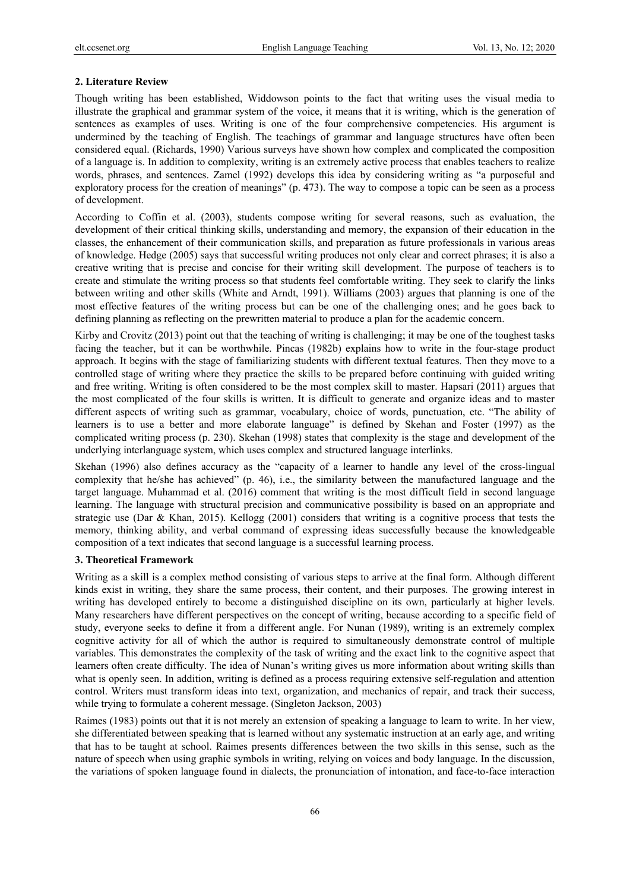#### **2. Literature Review**

Though writing has been established, Widdowson points to the fact that writing uses the visual media to illustrate the graphical and grammar system of the voice, it means that it is writing, which is the generation of sentences as examples of uses. Writing is one of the four comprehensive competencies. His argument is undermined by the teaching of English. The teachings of grammar and language structures have often been considered equal. (Richards, 1990) Various surveys have shown how complex and complicated the composition of a language is. In addition to complexity, writing is an extremely active process that enables teachers to realize words, phrases, and sentences. Zamel (1992) develops this idea by considering writing as "a purposeful and exploratory process for the creation of meanings" (p. 473). The way to compose a topic can be seen as a process of development.

According to Coffin et al. (2003), students compose writing for several reasons, such as evaluation, the development of their critical thinking skills, understanding and memory, the expansion of their education in the classes, the enhancement of their communication skills, and preparation as future professionals in various areas of knowledge. Hedge (2005) says that successful writing produces not only clear and correct phrases; it is also a creative writing that is precise and concise for their writing skill development. The purpose of teachers is to create and stimulate the writing process so that students feel comfortable writing. They seek to clarify the links between writing and other skills (White and Arndt, 1991). Williams (2003) argues that planning is one of the most effective features of the writing process but can be one of the challenging ones; and he goes back to defining planning as reflecting on the prewritten material to produce a plan for the academic concern.

Kirby and Crovitz (2013) point out that the teaching of writing is challenging; it may be one of the toughest tasks facing the teacher, but it can be worthwhile. Pincas (1982b) explains how to write in the four-stage product approach. It begins with the stage of familiarizing students with different textual features. Then they move to a controlled stage of writing where they practice the skills to be prepared before continuing with guided writing and free writing. Writing is often considered to be the most complex skill to master. Hapsari (2011) argues that the most complicated of the four skills is written. It is difficult to generate and organize ideas and to master different aspects of writing such as grammar, vocabulary, choice of words, punctuation, etc. "The ability of learners is to use a better and more elaborate language" is defined by Skehan and Foster (1997) as the complicated writing process (p. 230). Skehan (1998) states that complexity is the stage and development of the underlying interlanguage system, which uses complex and structured language interlinks.

Skehan (1996) also defines accuracy as the "capacity of a learner to handle any level of the cross-lingual complexity that he/she has achieved" (p. 46), i.e., the similarity between the manufactured language and the target language. Muhammad et al. (2016) comment that writing is the most difficult field in second language learning. The language with structural precision and communicative possibility is based on an appropriate and strategic use (Dar & Khan, 2015). Kellogg (2001) considers that writing is a cognitive process that tests the memory, thinking ability, and verbal command of expressing ideas successfully because the knowledgeable composition of a text indicates that second language is a successful learning process.

## **3. Theoretical Framework**

Writing as a skill is a complex method consisting of various steps to arrive at the final form. Although different kinds exist in writing, they share the same process, their content, and their purposes. The growing interest in writing has developed entirely to become a distinguished discipline on its own, particularly at higher levels. Many researchers have different perspectives on the concept of writing, because according to a specific field of study, everyone seeks to define it from a different angle. For Nunan (1989), writing is an extremely complex cognitive activity for all of which the author is required to simultaneously demonstrate control of multiple variables. This demonstrates the complexity of the task of writing and the exact link to the cognitive aspect that learners often create difficulty. The idea of Nunan's writing gives us more information about writing skills than what is openly seen. In addition, writing is defined as a process requiring extensive self-regulation and attention control. Writers must transform ideas into text, organization, and mechanics of repair, and track their success, while trying to formulate a coherent message. (Singleton Jackson, 2003)

Raimes (1983) points out that it is not merely an extension of speaking a language to learn to write. In her view, she differentiated between speaking that is learned without any systematic instruction at an early age, and writing that has to be taught at school. Raimes presents differences between the two skills in this sense, such as the nature of speech when using graphic symbols in writing, relying on voices and body language. In the discussion, the variations of spoken language found in dialects, the pronunciation of intonation, and face-to-face interaction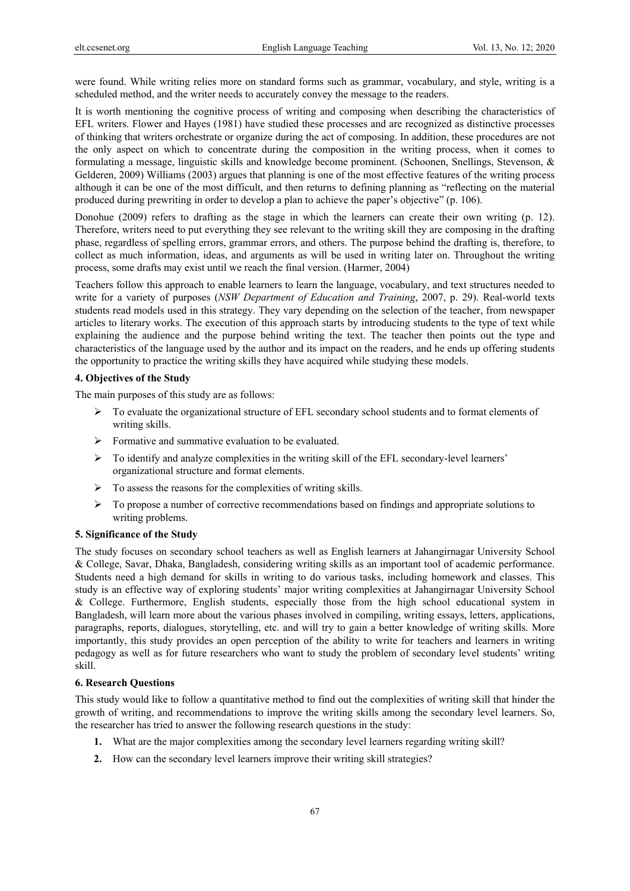were found. While writing relies more on standard forms such as grammar, vocabulary, and style, writing is a scheduled method, and the writer needs to accurately convey the message to the readers.

It is worth mentioning the cognitive process of writing and composing when describing the characteristics of EFL writers. Flower and Hayes (1981) have studied these processes and are recognized as distinctive processes of thinking that writers orchestrate or organize during the act of composing. In addition, these procedures are not the only aspect on which to concentrate during the composition in the writing process, when it comes to formulating a message, linguistic skills and knowledge become prominent. (Schoonen, Snellings, Stevenson, & Gelderen, 2009) Williams (2003) argues that planning is one of the most effective features of the writing process although it can be one of the most difficult, and then returns to defining planning as "reflecting on the material produced during prewriting in order to develop a plan to achieve the paper's objective" (p. 106).

Donohue (2009) refers to drafting as the stage in which the learners can create their own writing (p. 12). Therefore, writers need to put everything they see relevant to the writing skill they are composing in the drafting phase, regardless of spelling errors, grammar errors, and others. The purpose behind the drafting is, therefore, to collect as much information, ideas, and arguments as will be used in writing later on. Throughout the writing process, some drafts may exist until we reach the final version. (Harmer, 2004)

Teachers follow this approach to enable learners to learn the language, vocabulary, and text structures needed to write for a variety of purposes (*NSW Department of Education and Training*, 2007, p. 29). Real-world texts students read models used in this strategy. They vary depending on the selection of the teacher, from newspaper articles to literary works. The execution of this approach starts by introducing students to the type of text while explaining the audience and the purpose behind writing the text. The teacher then points out the type and characteristics of the language used by the author and its impact on the readers, and he ends up offering students the opportunity to practice the writing skills they have acquired while studying these models.

#### **4. Objectives of the Study**

The main purposes of this study are as follows:

- $\triangleright$  To evaluate the organizational structure of EFL secondary school students and to format elements of writing skills.
- $\triangleright$  Formative and summative evaluation to be evaluated.
- $\triangleright$  To identify and analyze complexities in the writing skill of the EFL secondary-level learners' organizational structure and format elements.
- $\triangleright$  To assess the reasons for the complexities of writing skills.
- $\triangleright$  To propose a number of corrective recommendations based on findings and appropriate solutions to writing problems.

#### **5. Significance of the Study**

The study focuses on secondary school teachers as well as English learners at Jahangirnagar University School & College, Savar, Dhaka, Bangladesh, considering writing skills as an important tool of academic performance. Students need a high demand for skills in writing to do various tasks, including homework and classes. This study is an effective way of exploring students' major writing complexities at Jahangirnagar University School & College. Furthermore, English students, especially those from the high school educational system in Bangladesh, will learn more about the various phases involved in compiling, writing essays, letters, applications, paragraphs, reports, dialogues, storytelling, etc. and will try to gain a better knowledge of writing skills. More importantly, this study provides an open perception of the ability to write for teachers and learners in writing pedagogy as well as for future researchers who want to study the problem of secondary level students' writing skill.

#### **6. Research Questions**

This study would like to follow a quantitative method to find out the complexities of writing skill that hinder the growth of writing, and recommendations to improve the writing skills among the secondary level learners. So, the researcher has tried to answer the following research questions in the study:

- **1.** What are the major complexities among the secondary level learners regarding writing skill?
- **2.** How can the secondary level learners improve their writing skill strategies?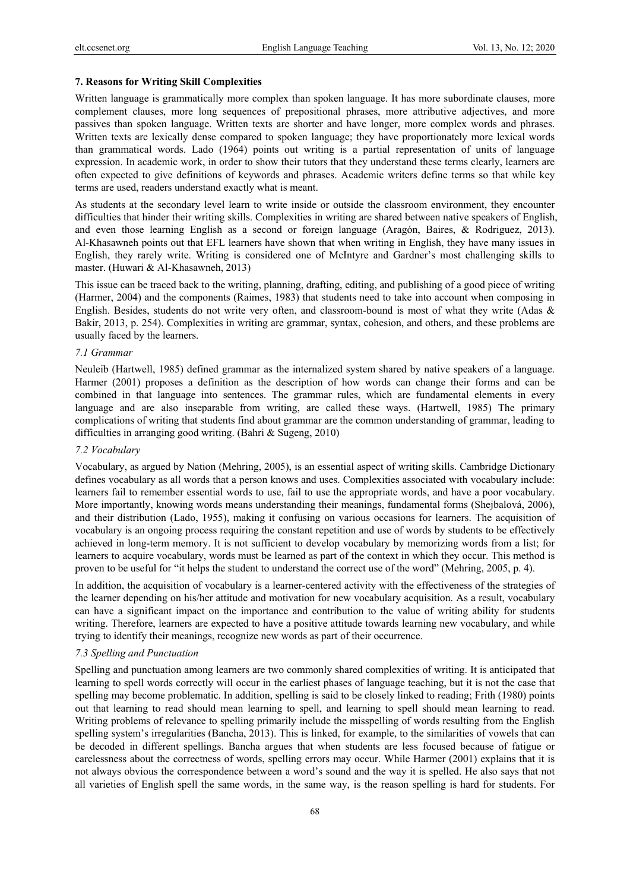#### **7. Reasons for Writing Skill Complexities**

Written language is grammatically more complex than spoken language. It has more subordinate clauses, more complement clauses, more long sequences of prepositional phrases, more attributive adjectives, and more passives than spoken language. Written texts are shorter and have longer, more complex words and phrases. Written texts are lexically dense compared to spoken language; they have proportionately more lexical words than grammatical words. Lado (1964) points out writing is a partial representation of units of language expression. In academic work, in order to show their tutors that they understand these terms clearly, learners are often expected to give definitions of keywords and phrases. Academic writers define terms so that while key terms are used, readers understand exactly what is meant.

As students at the secondary level learn to write inside or outside the classroom environment, they encounter difficulties that hinder their writing skills. Complexities in writing are shared between native speakers of English, and even those learning English as a second or foreign language (Aragón, Baires, & Rodriguez, 2013). Al-Khasawneh points out that EFL learners have shown that when writing in English, they have many issues in English, they rarely write. Writing is considered one of McIntyre and Gardner's most challenging skills to master. (Huwari & Al-Khasawneh, 2013)

This issue can be traced back to the writing, planning, drafting, editing, and publishing of a good piece of writing (Harmer, 2004) and the components (Raimes, 1983) that students need to take into account when composing in English. Besides, students do not write very often, and classroom-bound is most of what they write (Adas & Bakir, 2013, p. 254). Complexities in writing are grammar, syntax, cohesion, and others, and these problems are usually faced by the learners.

#### *7.1 Grammar*

Neuleib (Hartwell, 1985) defined grammar as the internalized system shared by native speakers of a language. Harmer (2001) proposes a definition as the description of how words can change their forms and can be combined in that language into sentences. The grammar rules, which are fundamental elements in every language and are also inseparable from writing, are called these ways. (Hartwell, 1985) The primary complications of writing that students find about grammar are the common understanding of grammar, leading to difficulties in arranging good writing. (Bahri & Sugeng, 2010)

#### *7.2 Vocabulary*

Vocabulary, as argued by Nation (Mehring, 2005), is an essential aspect of writing skills. Cambridge Dictionary defines vocabulary as all words that a person knows and uses. Complexities associated with vocabulary include: learners fail to remember essential words to use, fail to use the appropriate words, and have a poor vocabulary. More importantly, knowing words means understanding their meanings, fundamental forms (Shejbalová, 2006), and their distribution (Lado, 1955), making it confusing on various occasions for learners. The acquisition of vocabulary is an ongoing process requiring the constant repetition and use of words by students to be effectively achieved in long-term memory. It is not sufficient to develop vocabulary by memorizing words from a list; for learners to acquire vocabulary, words must be learned as part of the context in which they occur. This method is proven to be useful for "it helps the student to understand the correct use of the word" (Mehring, 2005, p. 4).

In addition, the acquisition of vocabulary is a learner-centered activity with the effectiveness of the strategies of the learner depending on his/her attitude and motivation for new vocabulary acquisition. As a result, vocabulary can have a significant impact on the importance and contribution to the value of writing ability for students writing. Therefore, learners are expected to have a positive attitude towards learning new vocabulary, and while trying to identify their meanings, recognize new words as part of their occurrence.

## *7.3 Spelling and Punctuation*

Spelling and punctuation among learners are two commonly shared complexities of writing. It is anticipated that learning to spell words correctly will occur in the earliest phases of language teaching, but it is not the case that spelling may become problematic. In addition, spelling is said to be closely linked to reading; Frith (1980) points out that learning to read should mean learning to spell, and learning to spell should mean learning to read. Writing problems of relevance to spelling primarily include the misspelling of words resulting from the English spelling system's irregularities (Bancha, 2013). This is linked, for example, to the similarities of vowels that can be decoded in different spellings. Bancha argues that when students are less focused because of fatigue or carelessness about the correctness of words, spelling errors may occur. While Harmer (2001) explains that it is not always obvious the correspondence between a word's sound and the way it is spelled. He also says that not all varieties of English spell the same words, in the same way, is the reason spelling is hard for students. For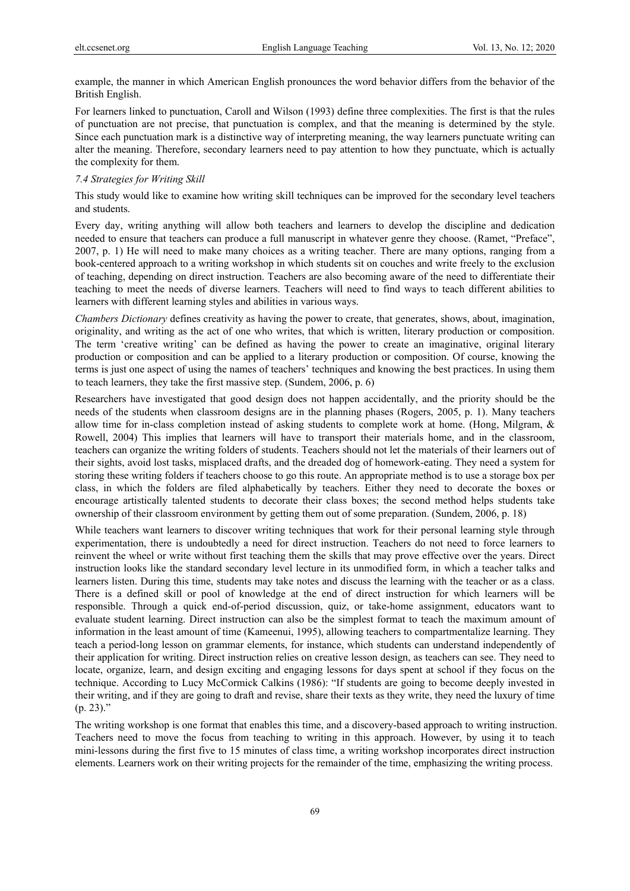example, the manner in which American English pronounces the word behavior differs from the behavior of the British English.

For learners linked to punctuation, Caroll and Wilson (1993) define three complexities. The first is that the rules of punctuation are not precise, that punctuation is complex, and that the meaning is determined by the style. Since each punctuation mark is a distinctive way of interpreting meaning, the way learners punctuate writing can alter the meaning. Therefore, secondary learners need to pay attention to how they punctuate, which is actually the complexity for them.

## *7.4 Strategies for Writing Skill*

This study would like to examine how writing skill techniques can be improved for the secondary level teachers and students.

Every day, writing anything will allow both teachers and learners to develop the discipline and dedication needed to ensure that teachers can produce a full manuscript in whatever genre they choose. (Ramet, "Preface", 2007, p. 1) He will need to make many choices as a writing teacher. There are many options, ranging from a book-centered approach to a writing workshop in which students sit on couches and write freely to the exclusion of teaching, depending on direct instruction. Teachers are also becoming aware of the need to differentiate their teaching to meet the needs of diverse learners. Teachers will need to find ways to teach different abilities to learners with different learning styles and abilities in various ways.

*Chambers Dictionary* defines creativity as having the power to create, that generates, shows, about, imagination, originality, and writing as the act of one who writes, that which is written, literary production or composition. The term 'creative writing' can be defined as having the power to create an imaginative, original literary production or composition and can be applied to a literary production or composition. Of course, knowing the terms is just one aspect of using the names of teachers' techniques and knowing the best practices. In using them to teach learners, they take the first massive step. (Sundem, 2006, p. 6)

Researchers have investigated that good design does not happen accidentally, and the priority should be the needs of the students when classroom designs are in the planning phases (Rogers, 2005, p. 1). Many teachers allow time for in-class completion instead of asking students to complete work at home. (Hong, Milgram, & Rowell, 2004) This implies that learners will have to transport their materials home, and in the classroom, teachers can organize the writing folders of students. Teachers should not let the materials of their learners out of their sights, avoid lost tasks, misplaced drafts, and the dreaded dog of homework-eating. They need a system for storing these writing folders if teachers choose to go this route. An appropriate method is to use a storage box per class, in which the folders are filed alphabetically by teachers. Either they need to decorate the boxes or encourage artistically talented students to decorate their class boxes; the second method helps students take ownership of their classroom environment by getting them out of some preparation. (Sundem, 2006, p. 18)

While teachers want learners to discover writing techniques that work for their personal learning style through experimentation, there is undoubtedly a need for direct instruction. Teachers do not need to force learners to reinvent the wheel or write without first teaching them the skills that may prove effective over the years. Direct instruction looks like the standard secondary level lecture in its unmodified form, in which a teacher talks and learners listen. During this time, students may take notes and discuss the learning with the teacher or as a class. There is a defined skill or pool of knowledge at the end of direct instruction for which learners will be responsible. Through a quick end-of-period discussion, quiz, or take-home assignment, educators want to evaluate student learning. Direct instruction can also be the simplest format to teach the maximum amount of information in the least amount of time (Kameenui, 1995), allowing teachers to compartmentalize learning. They teach a period-long lesson on grammar elements, for instance, which students can understand independently of their application for writing. Direct instruction relies on creative lesson design, as teachers can see. They need to locate, organize, learn, and design exciting and engaging lessons for days spent at school if they focus on the technique. According to Lucy McCormick Calkins (1986): "If students are going to become deeply invested in their writing, and if they are going to draft and revise, share their texts as they write, they need the luxury of time  $(p. 23)$ ."

The writing workshop is one format that enables this time, and a discovery-based approach to writing instruction. Teachers need to move the focus from teaching to writing in this approach. However, by using it to teach mini-lessons during the first five to 15 minutes of class time, a writing workshop incorporates direct instruction elements. Learners work on their writing projects for the remainder of the time, emphasizing the writing process.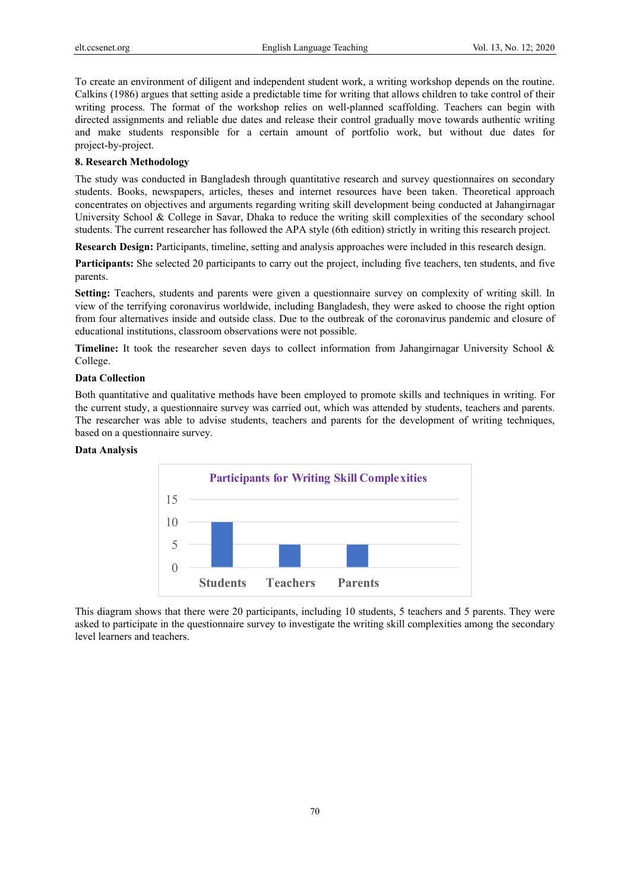To create an environment of diligent and independent student work, a writing workshop depends on the routine. Calkins (1986) argues that setting aside a predictable time for writing that allows children to take control of their writing process. The format of the workshop relies on well-planned scaffolding. Teachers can begin with directed assignments and reliable due dates and release their control gradually move towards authentic writing and make students responsible for a certain amount of portfolio work, but without due dates for project-by-project.

## **8. Research Methodology**

The study was conducted in Bangladesh through quantitative research and survey questionnaires on secondary students. Books, newspapers, articles, theses and internet resources have been taken. Theoretical approach concentrates on objectives and arguments regarding writing skill development being conducted at Jahangirnagar University School & College in Savar, Dhaka to reduce the writing skill complexities of the secondary school students. The current researcher has followed the APA style (6th edition) strictly in writing this research project.

**Research Design:** Participants, timeline, setting and analysis approaches were included in this research design.

**Participants:** She selected 20 participants to carry out the project, including five teachers, ten students, and five parents.

**Setting:** Teachers, students and parents were given a questionnaire survey on complexity of writing skill. In view of the terrifying coronavirus worldwide, including Bangladesh, they were asked to choose the right option from four alternatives inside and outside class. Due to the outbreak of the coronavirus pandemic and closure of educational institutions, classroom observations were not possible.

**Timeline:** It took the researcher seven days to collect information from Jahangirnagar University School & College.

#### **Data Collection**

Both quantitative and qualitative methods have been employed to promote skills and techniques in writing. For the current study, a questionnaire survey was carried out, which was attended by students, teachers and parents. The researcher was able to advise students, teachers and parents for the development of writing techniques, based on a questionnaire survey.

#### **Data Analysis**



This diagram shows that there were 20 participants, including 10 students, 5 teachers and 5 parents. They were asked to participate in the questionnaire survey to investigate the writing skill complexities among the secondary level learners and teachers.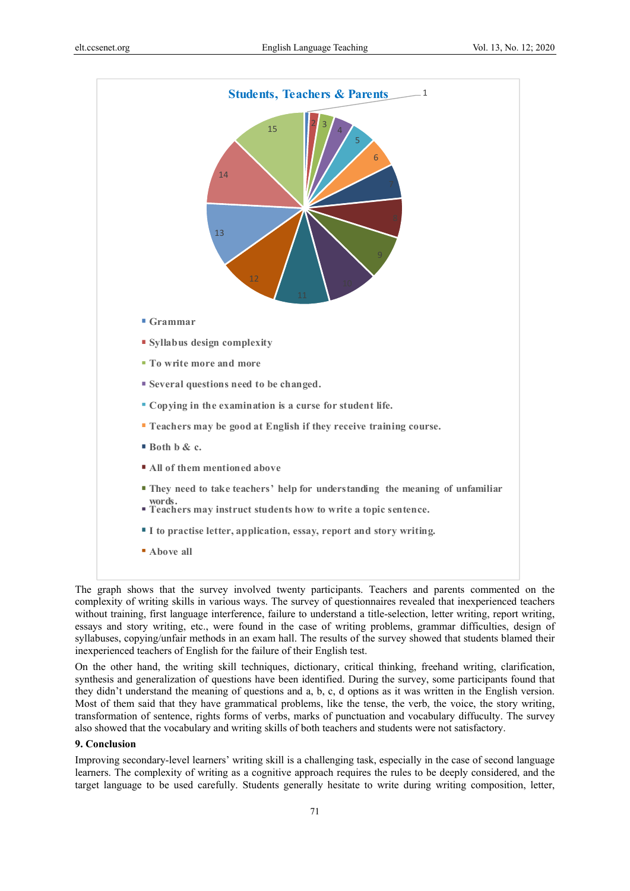

The graph shows that the survey involved twenty participants. Teachers and parents commented on the complexity of writing skills in various ways. The survey of questionnaires revealed that inexperienced teachers without training, first language interference, failure to understand a title-selection, letter writing, report writing, essays and story writing, etc., were found in the case of writing problems, grammar difficulties, design of syllabuses, copying/unfair methods in an exam hall. The results of the survey showed that students blamed their inexperienced teachers of English for the failure of their English test.

On the other hand, the writing skill techniques, dictionary, critical thinking, freehand writing, clarification, synthesis and generalization of questions have been identified. During the survey, some participants found that they didn't understand the meaning of questions and a, b, c, d options as it was written in the English version. Most of them said that they have grammatical problems, like the tense, the verb, the voice, the story writing, transformation of sentence, rights forms of verbs, marks of punctuation and vocabulary diffuculty. The survey also showed that the vocabulary and writing skills of both teachers and students were not satisfactory.

## **9. Conclusion**

Improving secondary-level learners' writing skill is a challenging task, especially in the case of second language learners. The complexity of writing as a cognitive approach requires the rules to be deeply considered, and the target language to be used carefully. Students generally hesitate to write during writing composition, letter,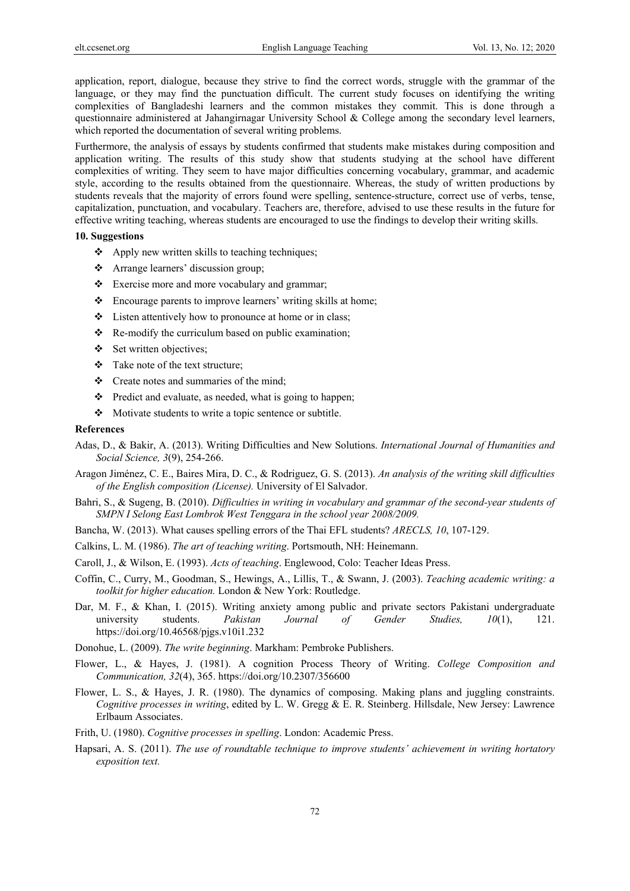application, report, dialogue, because they strive to find the correct words, struggle with the grammar of the language, or they may find the punctuation difficult. The current study focuses on identifying the writing complexities of Bangladeshi learners and the common mistakes they commit. This is done through a questionnaire administered at Jahangirnagar University School & College among the secondary level learners, which reported the documentation of several writing problems.

Furthermore, the analysis of essays by students confirmed that students make mistakes during composition and application writing. The results of this study show that students studying at the school have different complexities of writing. They seem to have major difficulties concerning vocabulary, grammar, and academic style, according to the results obtained from the questionnaire. Whereas, the study of written productions by students reveals that the majority of errors found were spelling, sentence-structure, correct use of verbs, tense, capitalization, punctuation, and vocabulary. Teachers are, therefore, advised to use these results in the future for effective writing teaching, whereas students are encouraged to use the findings to develop their writing skills.

## **10. Suggestions**

- $\triangle$  Apply new written skills to teaching techniques;
- \* Arrange learners' discussion group;
- \* Exercise more and more vocabulary and grammar;
- Encourage parents to improve learners' writing skills at home;
- Listen attentively how to pronounce at home or in class;
- $\triangle$  Re-modify the curriculum based on public examination;
- $\div$  Set written objectives;
- Take note of the text structure;
- Create notes and summaries of the mind;
- \* Predict and evaluate, as needed, what is going to happen;
- Motivate students to write a topic sentence or subtitle.

#### **References**

- Adas, D., & Bakir, A. (2013). Writing Difficulties and New Solutions. *International Journal of Humanities and Social Science, 3*(9), 254-266.
- Aragon Jiménez, C. E., Baires Mira, D. C., & Rodriguez, G. S. (2013). *An analysis of the writing skill difficulties of the English composition (License).* University of El Salvador.
- Bahri, S., & Sugeng, B. (2010). *Difficulties in writing in vocabulary and grammar of the second-year students of SMPN I Selong East Lombrok West Tenggara in the school year 2008/2009.*
- Bancha, W. (2013). What causes spelling errors of the Thai EFL students? *ARECLS, 10*, 107-129.
- Calkins, L. M. (1986). *The art of teaching writing*. Portsmouth, NH: Heinemann.
- Caroll, J., & Wilson, E. (1993). *Acts of teaching*. Englewood, Colo: Teacher Ideas Press.
- Coffin, C., Curry, M., Goodman, S., Hewings, A., Lillis, T., & Swann, J. (2003). *Teaching academic writing: a toolkit for higher education.* London & New York: Routledge.
- Dar, M. F., & Khan, I. (2015). Writing anxiety among public and private sectors Pakistani undergraduate university students. *Pakistan Journal of Gender Studies, 10*(1), 121. https://doi.org/10.46568/pjgs.v10i1.232
- Donohue, L. (2009). *The write beginning*. Markham: Pembroke Publishers.
- Flower, L., & Hayes, J. (1981). A cognition Process Theory of Writing. *College Composition and Communication, 32*(4), 365. https://doi.org/10.2307/356600
- Flower, L. S., & Hayes, J. R. (1980). The dynamics of composing. Making plans and juggling constraints. *Cognitive processes in writing*, edited by L. W. Gregg & E. R. Steinberg. Hillsdale, New Jersey: Lawrence Erlbaum Associates.
- Frith, U. (1980). *Cognitive processes in spelling*. London: Academic Press.
- Hapsari, A. S. (2011). *The use of roundtable technique to improve students' achievement in writing hortatory exposition text.*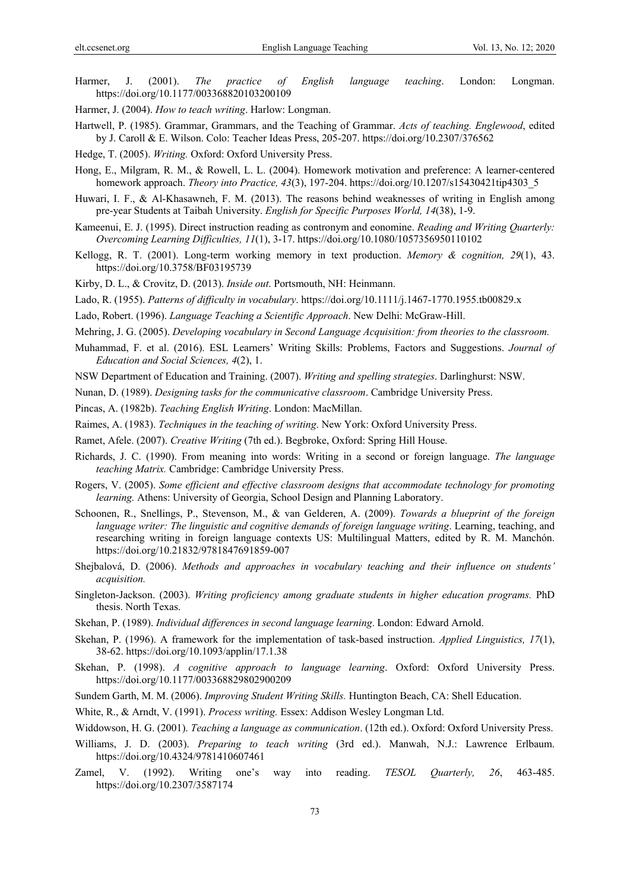- Harmer, J. (2001). *The practice of English language teaching*. London: Longman. https://doi.org/10.1177/003368820103200109
- Harmer, J. (2004). *How to teach writing*. Harlow: Longman.
- Hartwell, P. (1985). Grammar, Grammars, and the Teaching of Grammar. *Acts of teaching. Englewood*, edited by J. Caroll & E. Wilson. Colo: Teacher Ideas Press, 205-207. https://doi.org/10.2307/376562
- Hedge, T. (2005). *Writing.* Oxford: Oxford University Press.
- Hong, E., Milgram, R. M., & Rowell, L. L. (2004). Homework motivation and preference: A learner-centered homework approach. *Theory into Practice, 43*(3), 197-204. https://doi.org/10.1207/s15430421tip4303\_5
- Huwari, I. F., & Al-Khasawneh, F. M. (2013). The reasons behind weaknesses of writing in English among pre-year Students at Taibah University. *English for Specific Purposes World, 14*(38), 1-9.
- Kameenui, E. J. (1995). Direct instruction reading as contronym and eonomine. *Reading and Writing Quarterly: Overcoming Learning Difficulties, 11*(1), 3-17. https://doi.org/10.1080/1057356950110102
- Kellogg, R. T. (2001). Long-term working memory in text production. *Memory & cognition, 29*(1), 43. https://doi.org/10.3758/BF03195739
- Kirby, D. L., & Crovitz, D. (2013). *Inside out*. Portsmouth, NH: Heinmann.
- Lado, R. (1955). *Patterns of difficulty in vocabulary*. https://doi.org/10.1111/j.1467-1770.1955.tb00829.x
- Lado, Robert. (1996). *Language Teaching a Scientific Approach*. New Delhi: McGraw-Hill.
- Mehring, J. G. (2005). *Developing vocabulary in Second Language Acquisition: from theories to the classroom.*
- Muhammad, F. et al. (2016). ESL Learners' Writing Skills: Problems, Factors and Suggestions. *Journal of Education and Social Sciences, 4*(2), 1.
- NSW Department of Education and Training. (2007). *Writing and spelling strategies*. Darlinghurst: NSW.
- Nunan, D. (1989). *Designing tasks for the communicative classroom*. Cambridge University Press.
- Pincas, A. (1982b). *Teaching English Writing*. London: MacMillan.
- Raimes, A. (1983). *Techniques in the teaching of writing*. New York: Oxford University Press.
- Ramet, Afele. (2007). *Creative Writing* (7th ed.). Begbroke, Oxford: Spring Hill House.
- Richards, J. C. (1990). From meaning into words: Writing in a second or foreign language. *The language teaching Matrix.* Cambridge: Cambridge University Press.
- Rogers, V. (2005). *Some efficient and effective classroom designs that accommodate technology for promoting learning.* Athens: University of Georgia, School Design and Planning Laboratory.
- Schoonen, R., Snellings, P., Stevenson, M., & van Gelderen, A. (2009). *Towards a blueprint of the foreign language writer: The linguistic and cognitive demands of foreign language writing*. Learning, teaching, and researching writing in foreign language contexts US: Multilingual Matters, edited by R. M. Manchón. https://doi.org/10.21832/9781847691859-007
- Shejbalová, D. (2006). *Methods and approaches in vocabulary teaching and their influence on students' acquisition.*
- Singleton-Jackson. (2003). *Writing proficiency among graduate students in higher education programs.* PhD thesis. North Texas.
- Skehan, P. (1989). *Individual differences in second language learning*. London: Edward Arnold.
- Skehan, P. (1996). A framework for the implementation of task-based instruction. *Applied Linguistics, 17*(1), 38-62. https://doi.org/10.1093/applin/17.1.38
- Skehan, P. (1998). *A cognitive approach to language learning*. Oxford: Oxford University Press. https://doi.org/10.1177/003368829802900209
- Sundem Garth, M. M. (2006). *Improving Student Writing Skills.* Huntington Beach, CA: Shell Education.
- White, R., & Arndt, V. (1991). *Process writing.* Essex: Addison Wesley Longman Ltd.
- Widdowson, H. G. (2001). *Teaching a language as communication*. (12th ed.). Oxford: Oxford University Press.
- Williams, J. D. (2003). *Preparing to teach writing* (3rd ed.). Manwah, N.J.: Lawrence Erlbaum. https://doi.org/10.4324/9781410607461
- Zamel, V. (1992). Writing one's way into reading. *TESOL Quarterly, 26*, 463-485. https://doi.org/10.2307/3587174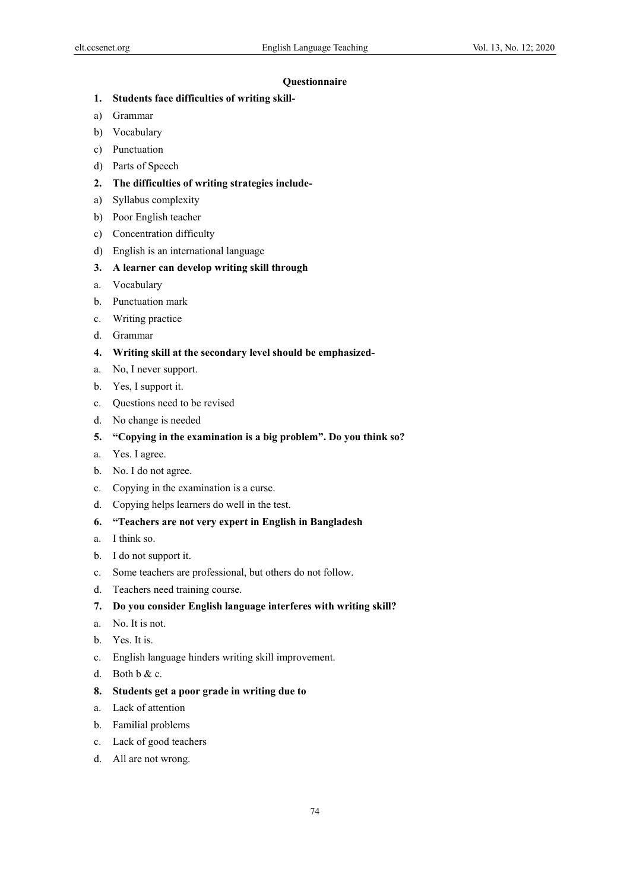## **Questionnaire**

- **1. Students face difficulties of writing skill-**
- a) Grammar
- b) Vocabulary
- c) Punctuation
- d) Parts of Speech
- **2. The difficulties of writing strategies include-**
- a) Syllabus complexity
- b) Poor English teacher
- c) Concentration difficulty
- d) English is an international language
- **3. A learner can develop writing skill through**
- a. Vocabulary
- b. Punctuation mark
- c. Writing practice
- d. Grammar
- **4. Writing skill at the secondary level should be emphasized-**
- a. No, I never support.
- b. Yes, I support it.
- c. Questions need to be revised
- d. No change is needed
- **5. "Copying in the examination is a big problem". Do you think so?**
- a. Yes. I agree.
- b. No. I do not agree.
- c. Copying in the examination is a curse.
- d. Copying helps learners do well in the test.
- **6. "Teachers are not very expert in English in Bangladesh**
- a. I think so.
- b. I do not support it.
- c. Some teachers are professional, but others do not follow.
- d. Teachers need training course.
- **7. Do you consider English language interferes with writing skill?**
- a. No. It is not.
- b. Yes. It is.
- c. English language hinders writing skill improvement.
- d. Both b & c.
- **8. Students get a poor grade in writing due to**
- a. Lack of attention
- b. Familial problems
- c. Lack of good teachers
- d. All are not wrong.